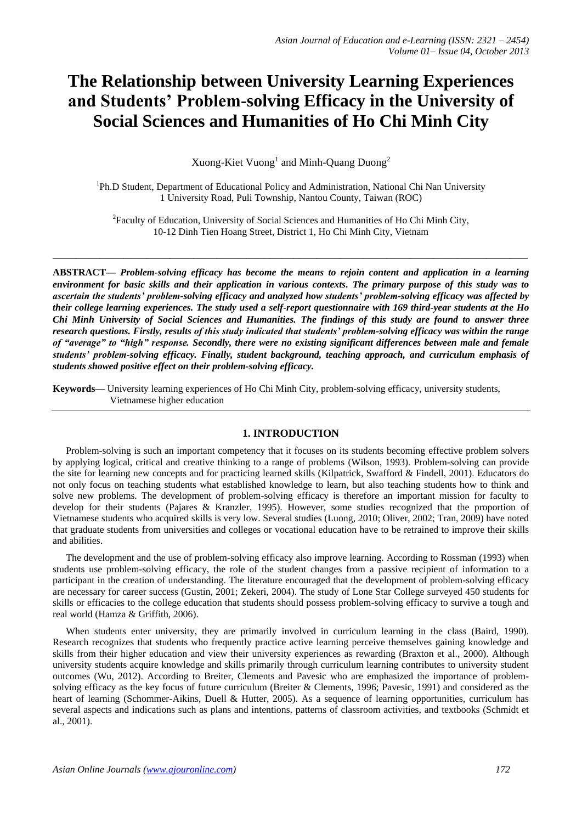# **The Relationship between University Learning Experiences and Students' Problem-solving Efficacy in the University of Social Sciences and Humanities of Ho Chi Minh City**

Xuong-Kiet Vuong<sup>1</sup> and Minh-Quang Duong<sup>2</sup>

<sup>1</sup>Ph.D Student, Department of Educational Policy and Administration, National Chi Nan University 1 University Road, Puli Township, Nantou County, Taiwan (ROC)

<sup>2</sup> Faculty of Education, University of Social Sciences and Humanities of Ho Chi Minh City, 10-12 Dinh Tien Hoang Street, District 1, Ho Chi Minh City, Vietnam

**\_\_\_\_\_\_\_\_\_\_\_\_\_\_\_\_\_\_\_\_\_\_\_\_\_\_\_\_\_\_\_\_\_\_\_\_\_\_\_\_\_\_\_\_\_\_\_\_\_\_\_\_\_\_\_\_\_\_\_\_\_\_\_\_\_\_\_\_\_\_\_\_\_\_\_\_\_\_\_\_\_**

**ABSTRACT—** *Problem-solving efficacy has become the means to rejoin content and application in a learning environment for basic skills and their application in various contexts. The primary purpose of this study was to ascertain the students' problem-solving efficacy and analyzed how students' problem-solving efficacy was affected by their college learning experiences. The study used a self-report questionnaire with 169 third-year students at the Ho Chi Minh University of Social Sciences and Humanities. The findings of this study are found to answer three research questions. Firstly, results of this study indicated that students' problem-solving efficacy was within the range of "average" to "high" response. Secondly, there were no existing significant differences between male and female students' problem-solving efficacy. Finally, student background, teaching approach, and curriculum emphasis of students showed positive effect on their problem-solving efficacy.*

**Keywords—** University learning experiences of Ho Chi Minh City, problem-solving efficacy, university students, Vietnamese higher education

## **1. INTRODUCTION**

Problem-solving is such an important competency that it focuses on its students becoming [effective problem solvers](http://www.unisa.edu.au/gradquals/staff/poster/GQLeaflet3.doc)  [by applying logical, critical and creative thinking to a range of problems](http://www.unisa.edu.au/gradquals/staff/poster/GQLeaflet3.doc) (Wilson, 1993). Problem-solving can provide the site for learning new concepts and for practicing learned skills (Kilpatrick, Swafford & Findell, 2001). Educators do not only focus on teaching students what established knowledge to learn, but also teaching students how to think and solve new problems. The development of problem-solving efficacy is therefore an important mission for faculty to develop for their students (Pajares & Kranzler, 1995). However, some studies recognized that the proportion of Vietnamese students who acquired skills is very low. Several studies (Luong, 2010; Oliver, 2002; Tran, 2009) have noted that graduate students from universities and colleges or vocational education have to be retrained to improve their skills and abilities.

The development and the use of problem-solving efficacy also improve learning. According to Rossman (1993) when students use problem-solving efficacy, the role of the student changes from a passive recipient of information to a participant in the creation of understanding. The literature encouraged that the development of problem-solving efficacy are necessary for career success (Gustin, 2001; Zekeri, 2004). The study of Lone Star College surveyed 450 students for skills or efficacies to the college education that students should possess problem-solving efficacy to survive a tough and real world (Hamza & Griffith, 2006).

When students enter university, they are primarily involved in curriculum learning in the class (Baird, 1990). Research recognizes that students who frequently practice active learning perceive themselves gaining knowledge and skills from their higher education and view their university experiences as rewarding (Braxton et al., 2000). Although university students acquire knowledge and skills primarily through curriculum learning contributes to university student outcomes (Wu, 2012). According to Breiter, Clements and Pavesic who are emphasized the importance of problemsolving efficacy as the key focus of future curriculum (Breiter & Clements, 1996; Pavesic, 1991) and considered as the heart of learning (Schommer-Aikins, Duell & Hutter, 2005). As a sequence of learning opportunities, curriculum has several aspects and indications such as plans and intentions, patterns of classroom activities, and textbooks (Schmidt et al., 2001).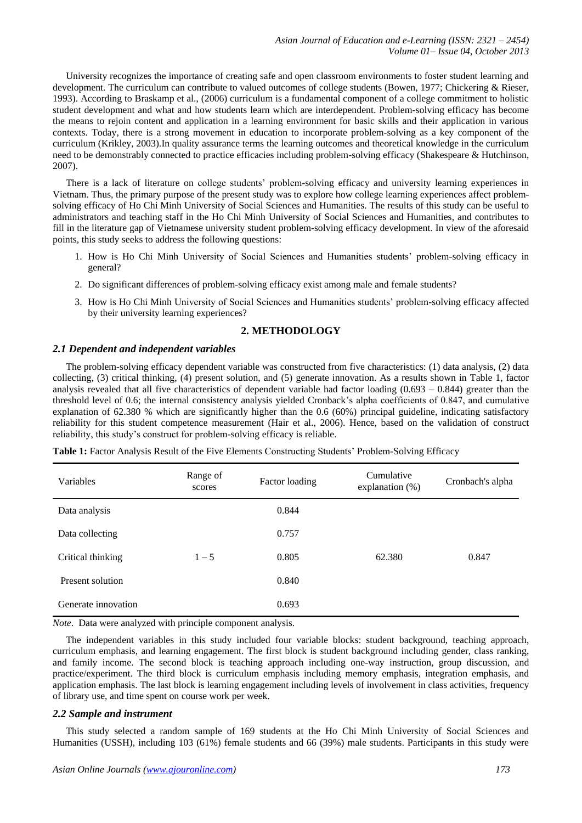University recognizes the importance of creating safe and open classroom environments to foster student learning and development. The curriculum can contribute to valued outcomes of college students (Bowen, 1977; Chickering & Rieser, 1993). According to Braskamp et al., (2006) curriculum is a fundamental component of a college commitment to holistic student development and what and how students learn which are interdependent. Problem-solving efficacy has become the means to rejoin content and application in a learning environment for basic skills and their application in various contexts. Today, there is a strong movement in education to incorporate problem-solving as a key component of the curriculum (Krikley, 2003).In quality assurance terms the learning outcomes and theoretical knowledge in the curriculum need to be demonstrably connected to practice efficacies including problem-solving efficacy (Shakespeare & Hutchinson, 2007).

There is a lack of literature on college students' problem-solving efficacy and university learning experiences in Vietnam. Thus, the primary purpose of the present study was to explore how college learning experiences affect problemsolving efficacy of Ho Chi Minh University of Social Sciences and Humanities. The results of this study can be useful to administrators and teaching staff in the Ho Chi Minh University of Social Sciences and Humanities, and contributes to fill in the literature gap of Vietnamese university student problem-solving efficacy development. In view of the aforesaid points, this study seeks to address the following questions:

- 1. How is Ho Chi Minh University of Social Sciences and Humanities students' problem-solving efficacy in general?
- 2. Do significant differences of problem-solving efficacy exist among male and female students?
- 3. How is Ho Chi Minh University of Social Sciences and Humanities students' problem-solving efficacy affected by their university learning experiences?

# **2. METHODOLOGY**

# *2.1 Dependent and independent variables*

The problem-solving efficacy dependent variable was constructed from five characteristics: (1) data analysis, (2) data collecting, (3) critical thinking, (4) present solution, and (5) generate innovation. As a results shown in Table 1, factor analysis revealed that all five characteristics of dependent variable had factor loading  $(0.693 - 0.844)$  greater than the threshold level of 0.6; the internal consistency analysis yielded Cronback's alpha coefficients of 0.847, and cumulative explanation of 62.380 % which are significantly higher than the 0.6 (60%) principal guideline, indicating satisfactory reliability for this student competence measurement (Hair et al., 2006). Hence, based on the validation of construct reliability, this study's construct for problem-solving efficacy is reliable.

| Variables           | Range of<br>scores | Factor loading | Cumulative<br>explanation $(\%)$ | Cronbach's alpha |
|---------------------|--------------------|----------------|----------------------------------|------------------|
| Data analysis       |                    | 0.844          |                                  |                  |
| Data collecting     |                    | 0.757          |                                  |                  |
| Critical thinking   | $1 - 5$            | 0.805          | 62.380                           | 0.847            |
| Present solution    |                    | 0.840          |                                  |                  |
| Generate innovation |                    | 0.693          |                                  |                  |

**Table 1:** Factor Analysis Result of the Five Elements Constructing Students' Problem-Solving Efficacy

*Note*. Data were analyzed with principle component analysis.

The independent variables in this study included four variable blocks: student background, teaching approach, curriculum emphasis, and learning engagement. The first block is student background including gender, class ranking, and family income. The second block is teaching approach including one-way instruction, group discussion, and practice/experiment. The third block is curriculum emphasis including memory emphasis, integration emphasis, and application emphasis. The last block is learning engagement including levels of involvement in class activities, frequency of library use, and time spent on course work per week.

## *2.2 Sample and instrument*

This study selected a random sample of 169 students at the Ho Chi Minh University of Social Sciences and Humanities (USSH), including 103 (61%) female students and 66 (39%) male students. Participants in this study were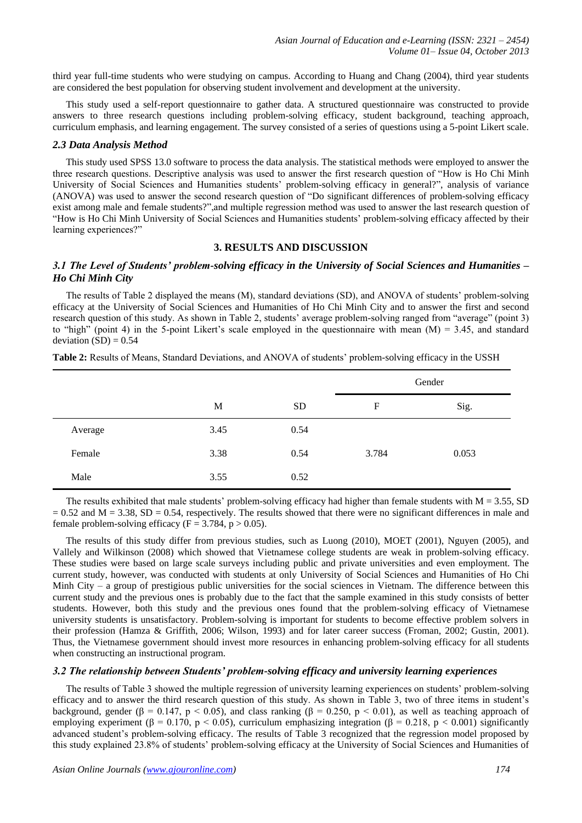third year full-time students who were studying on campus. According to Huang and Chang (2004), third year students are considered the best population for observing student involvement and development at the university.

This study used a self-report questionnaire to gather data. A structured questionnaire was constructed to provide answers to three research questions including problem-solving efficacy, student background, teaching approach, curriculum emphasis, and learning engagement. The survey consisted of a series of questions using a 5-point Likert scale.

### *2.3 Data Analysis Method*

This study used SPSS 13.0 software to process the data analysis. The statistical methods were employed to answer the three research questions. Descriptive analysis was used to answer the first research question of "How is Ho Chi Minh University of Social Sciences and Humanities students' problem-solving efficacy in general?", analysis of variance (ANOVA) was used to answer the second research question of "Do significant differences of problem-solving efficacy exist among male and female students?",and multiple regression method was used to answer the last research question of "How is Ho Chi Minh University of Social Sciences and Humanities students' problem-solving efficacy affected by their learning experiences?"

# **3. RESULTS AND DISCUSSION**

# *3.1 The Level of Students' problem-solving efficacy in the University of Social Sciences and Humanities – Ho Chi Minh City*

The results of Table 2 displayed the means (M), standard deviations (SD), and ANOVA of students' problem-solving efficacy at the University of Social Sciences and Humanities of Ho Chi Minh City and to answer the first and second research question of this study. As shown in Table 2, students' average problem-solving ranged from "average" (point 3) to "high" (point 4) in the 5-point Likert's scale employed in the questionnaire with mean  $(M) = 3.45$ , and standard deviation  $(SD) = 0.54$ 

|         |      |           | Gender |       |
|---------|------|-----------|--------|-------|
|         | M    | <b>SD</b> | F      | Sig.  |
| Average | 3.45 | 0.54      |        |       |
| Female  | 3.38 | 0.54      | 3.784  | 0.053 |
| Male    | 3.55 | 0.52      |        |       |

**Table 2:** Results of Means, Standard Deviations, and ANOVA of students' problem-solving efficacy in the USSH

The results exhibited that male students' problem-solving efficacy had higher than female students with  $M = 3.55$ , SD  $= 0.52$  and M  $= 3.38$ , SD  $= 0.54$ , respectively. The results showed that there were no significant differences in male and female problem-solving efficacy ( $F = 3.784$ ,  $p > 0.05$ ).

The results of this study differ from previous studies, such as Luong (2010), MOET (2001), Nguyen (2005), and Vallely and Wilkinson (2008) which showed that Vietnamese college students are weak in problem-solving efficacy. These studies were based on large scale surveys including public and private universities and even employment. The current study, however, was conducted with students at only University of Social Sciences and Humanities of Ho Chi Minh City – a group of prestigious public universities for the social sciences in Vietnam. The difference between this current study and the previous ones is probably due to the fact that the sample examined in this study consists of better students. However, both this study and the previous ones found that the problem-solving efficacy of Vietnamese university students is unsatisfactory. Problem-solving is important for students to become [effective problem solvers](http://www.unisa.edu.au/gradquals/staff/poster/GQLeaflet3.doc) in their profession (Hamza & Griffith, 2006; Wilson, 1993) and for later career success (Froman, 2002; Gustin, 2001). Thus, the Vietnamese government should invest more resources in enhancing problem-solving efficacy for all students when constructing an instructional program.

## *3.2 The relationship between Students' problem-solving efficacy and university learning experiences*

The results of Table 3 showed the multiple regression of university learning experiences on students' problem-solving efficacy and to answer the third research question of this study. As shown in Table 3, two of three items in student's background, gender ( $\beta = 0.147$ ,  $p < 0.05$ ), and class ranking ( $\beta = 0.250$ ,  $p < 0.01$ ), as well as teaching approach of employing experiment ( $\beta = 0.170$ , p < 0.05), curriculum emphasizing integration ( $\beta = 0.218$ , p < 0.001) significantly advanced student's problem-solving efficacy. The results of Table 3 recognized that the regression model proposed by this study explained 23.8% of students' problem-solving efficacy at the University of Social Sciences and Humanities of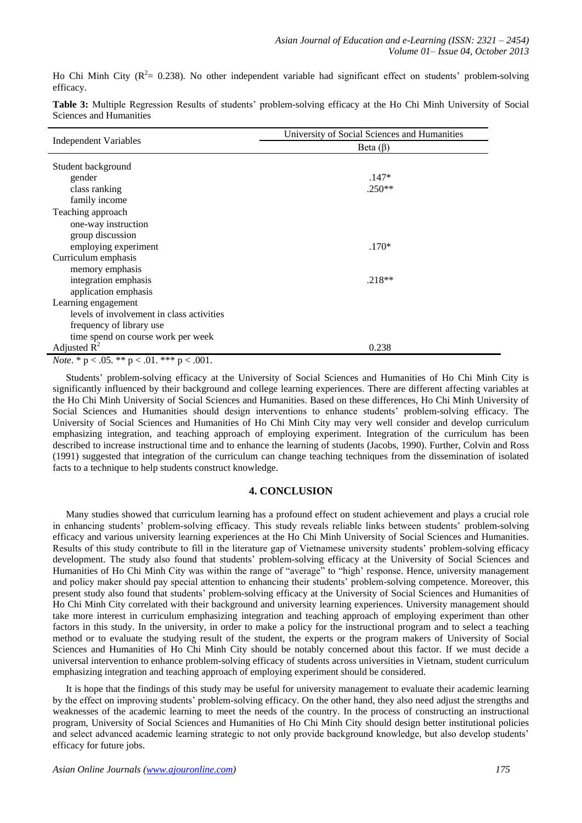Ho Chi Minh City ( $\mathbb{R}^2$  = 0.238). No other independent variable had significant effect on students' problem-solving efficacy.

|                                                      | University of Social Sciences and Humanities |  |  |
|------------------------------------------------------|----------------------------------------------|--|--|
| <b>Independent Variables</b>                         | Beta $(\beta)$                               |  |  |
| Student background                                   |                                              |  |  |
| gender                                               | $.147*$                                      |  |  |
| class ranking                                        | $.250**$                                     |  |  |
| family income                                        |                                              |  |  |
| Teaching approach                                    |                                              |  |  |
| one-way instruction                                  |                                              |  |  |
| group discussion                                     |                                              |  |  |
| employing experiment                                 | $.170*$                                      |  |  |
| Curriculum emphasis                                  |                                              |  |  |
| memory emphasis                                      |                                              |  |  |
| integration emphasis                                 | $.218**$                                     |  |  |
| application emphasis                                 |                                              |  |  |
| Learning engagement                                  |                                              |  |  |
| levels of involvement in class activities            |                                              |  |  |
| frequency of library use                             |                                              |  |  |
| time spend on course work per week                   |                                              |  |  |
| Adjusted $R^2$                                       | 0.238                                        |  |  |
| 0.04<br>$A = 0.00000$<br>$\sim$ $\sim$ $\sim$ $\sim$ |                                              |  |  |

**Table 3:** Multiple Regression Results of students' problem-solving efficacy at the Ho Chi Minh University of Social Sciences and Humanities

*Note*.  $*$  **p** < .05.  $**$  **p** < .01.  $***$  **p** < .001.

Students' problem-solving efficacy at the University of Social Sciences and Humanities of Ho Chi Minh City is significantly influenced by their background and college learning experiences. There are different affecting variables at the Ho Chi Minh University of Social Sciences and Humanities. Based on these differences, Ho Chi Minh University of Social Sciences and Humanities should design interventions to enhance students' problem-solving efficacy. The University of Social Sciences and Humanities of Ho Chi Minh City may very well consider and develop curriculum emphasizing integration, and teaching approach of employing experiment. Integration of the curriculum has been described to increase instructional time and to enhance the learning of students (Jacobs, 1990). Further, Colvin and Ross (1991) suggested that integration of the curriculum can change teaching techniques from the dissemination of isolated facts to a technique to help students construct knowledge.

# **4. CONCLUSION**

Many studies showed that curriculum learning has a profound effect on student achievement and plays a crucial role in enhancing students' problem-solving efficacy. This study reveals reliable links between students' problem-solving efficacy and various university learning experiences at the Ho Chi Minh University of Social Sciences and Humanities. Results of this study contribute to fill in the literature gap of Vietnamese university students' problem-solving efficacy development. The study also found that students' problem-solving efficacy at the University of Social Sciences and Humanities of Ho Chi Minh City was within the range of "average" to "high' response. Hence, university management and policy maker should pay special attention to enhancing their students' problem-solving competence. Moreover, this present study also found that students' problem-solving efficacy at the University of Social Sciences and Humanities of Ho Chi Minh City correlated with their background and university learning experiences. University management should take more interest in curriculum emphasizing integration and teaching approach of employing experiment than other factors in this study. In the university, in order to make a policy for the instructional program and to select a teaching method or to evaluate the studying result of the student, the experts or the program makers of University of Social Sciences and Humanities of Ho Chi Minh City should be notably concerned about this factor. If we must decide a universal intervention to enhance problem-solving efficacy of students across universities in Vietnam, student curriculum emphasizing integration and teaching approach of employing experiment should be considered.

It is hope that the findings of this study may be useful for university management to evaluate their academic learning by the effect on improving students' problem-solving efficacy. On the other hand, they also need adjust the strengths and weaknesses of the academic learning to meet the needs of the country. In the process of constructing an instructional program, University of Social Sciences and Humanities of Ho Chi Minh City should design better institutional policies and select advanced academic learning strategic to not only provide background knowledge, but also develop students' efficacy for future jobs.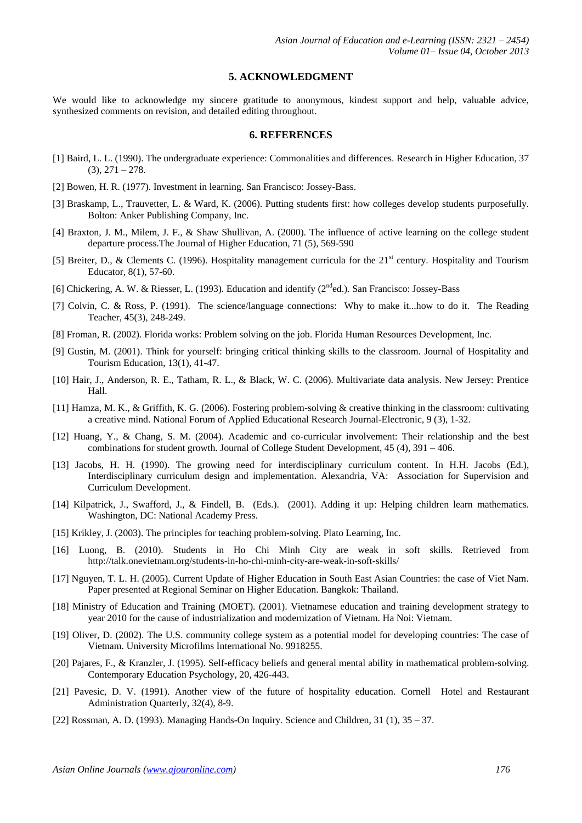### **5. ACKNOWLEDGMENT**

We would like to acknowledge my sincere gratitude to anonymous, kindest support and help, valuable advice, synthesized comments on revision, and detailed editing throughout.

# **6. REFERENCES**

- [1] Baird, L. L. (1990). The undergraduate experience: Commonalities and differences. Research in Higher Education, 37  $(3), 271 - 278.$
- [2] Bowen, H. R. (1977). Investment in learning. San Francisco: Jossey-Bass.
- [3] Braskamp, L., Trauvetter, L. & Ward, K. (2006). Putting students first: how colleges develop students purposefully. Bolton: Anker Publishing Company, Inc.
- [4] Braxton, J. M., Milem, J. F., & Shaw Shullivan, A. (2000). The influence of active learning on the college student departure process.The Journal of Higher Education, 71 (5), 569-590
- [5] Breiter, D., & Clements C. (1996). Hospitality management curricula for the  $21<sup>st</sup>$  century. Hospitality and Tourism Educator, 8(1), 57-60.
- [6] Chickering, A. W. & Riesser, L. (1993). Education and identify (2<sup>nd</sup>ed.). San Francisco: Jossey-Bass
- [7] Colvin, C. & Ross, P. (1991). The science/language connections: Why to make it...how to do it. The Reading Teacher, 45(3), 248-249.
- [8] Froman, R. (2002). Florida works: Problem solving on the job. Florida Human Resources Development, Inc.
- [9] Gustin, M. (2001). Think for yourself: bringing critical thinking skills to the classroom. Journal of Hospitality and Tourism Education, 13(1), 41-47.
- [10] Hair, J., Anderson, R. E., Tatham, R. L., & Black, W. C. (2006). Multivariate data analysis. New Jersey: Prentice Hall.
- [11] Hamza, M. K., & Griffith, K. G. (2006). Fostering problem-solving & creative thinking in the classroom: cultivating a creative mind. National Forum of Applied Educational Research Journal-Electronic, 9 (3), 1-32.
- [12] Huang, Y., & Chang, S. M. (2004). Academic and co-curricular involvement: Their relationship and the best combinations for student growth. Journal of College Student Development, 45 (4), 391 – 406.
- [13] Jacobs, H. H. (1990). The growing need for interdisciplinary curriculum content. In H.H. Jacobs (Ed.), Interdisciplinary curriculum design and implementation. Alexandria, VA: Association for Supervision and Curriculum Development.
- [14] Kilpatrick, J., Swafford, J., & Findell, B. (Eds.). (2001). Adding it up: Helping children learn mathematics. Washington, DC: National Academy Press.
- [15] Krikley, J. (2003). The principles for teaching problem-solving. Plato Learning, Inc.
- [16] Luong, B. (2010). Students in Ho Chi Minh City are weak in soft skills. Retrieved from http://talk.onevietnam.org/students-in-ho-chi-minh-city-are-weak-in-soft-skills/
- [17] Nguyen, T. L. H. (2005). Current Update of Higher Education in South East Asian Countries: the case of Viet Nam. Paper presented at Regional Seminar on Higher Education. Bangkok: Thailand.
- [18] Ministry of Education and Training (MOET). (2001). Vietnamese education and training development strategy to year 2010 for the cause of industrialization and modernization of Vietnam. Ha Noi: Vietnam.
- [19] Oliver, D. (2002). The U.S. community college system as a potential model for developing countries: The case of Vietnam. University Microfilms International No. 9918255.
- [20] Pajares, F., & Kranzler, J. (1995). Self-efficacy beliefs and general mental ability in mathematical problem-solving. Contemporary Education Psychology, 20, 426-443.
- [21] Pavesic, D. V. (1991). Another view of the future of hospitality education. Cornell Hotel and Restaurant Administration Quarterly, 32(4), 8-9.
- [22] Rossman, A. D. (1993). Managing Hands-On Inquiry. Science and Children, 31 (1), 35 37.